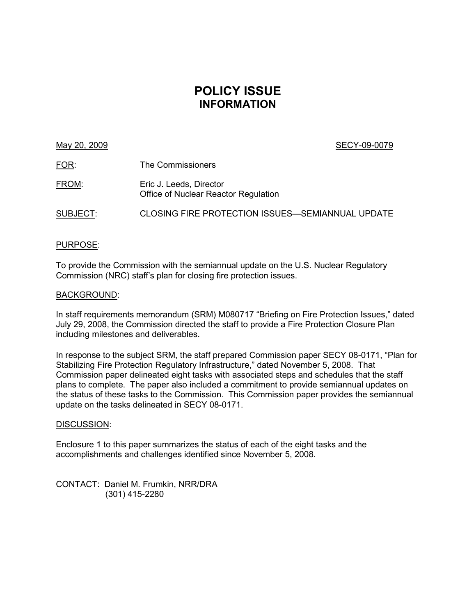# **POLICY ISSUE INFORMATION**

### May 20, 2009 SECY-09-0079

| <u>FOR:</u> | The Commissioners                                               |
|-------------|-----------------------------------------------------------------|
| FROM:       | Eric J. Leeds, Director<br>Office of Nuclear Reactor Regulation |
| SUBJECT:    | <b>CLOSING FIRE PROTECTION ISSUES-SEMIANNUAL UPDATE</b>         |

### PURPOSE:

To provide the Commission with the semiannual update on the U.S. Nuclear Regulatory Commission (NRC) staff's plan for closing fire protection issues.

### BACKGROUND:

In staff requirements memorandum (SRM) M080717 "Briefing on Fire Protection Issues," dated July 29, 2008, the Commission directed the staff to provide a Fire Protection Closure Plan including milestones and deliverables.

In response to the subject SRM, the staff prepared Commission paper SECY 08-0171, "Plan for Stabilizing Fire Protection Regulatory Infrastructure," dated November 5, 2008. That Commission paper delineated eight tasks with associated steps and schedules that the staff plans to complete. The paper also included a commitment to provide semiannual updates on the status of these tasks to the Commission. This Commission paper provides the semiannual update on the tasks delineated in SECY 08-0171.

### DISCUSSION:

Enclosure 1 to this paper summarizes the status of each of the eight tasks and the accomplishments and challenges identified since November 5, 2008.

CONTACT: Daniel M. Frumkin, NRR/DRA (301) 415-2280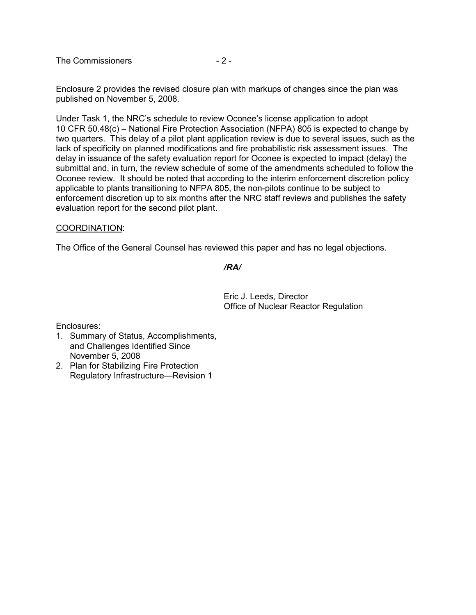The Commissioners  $-2$  -

Enclosure 2 provides the revised closure plan with markups of changes since the plan was published on November 5, 2008.

Under Task 1, the NRC's schedule to review Oconee's license application to adopt 10 CFR 50.48(c) – National Fire Protection Association (NFPA) 805 is expected to change by two quarters. This delay of a pilot plant application review is due to several issues, such as the lack of specificity on planned modifications and fire probabilistic risk assessment issues. The delay in issuance of the safety evaluation report for Oconee is expected to impact (delay) the submittal and, in turn, the review schedule of some of the amendments scheduled to follow the Oconee review. It should be noted that according to the interim enforcement discretion policy applicable to plants transitioning to NFPA 805, the non-pilots continue to be subject to enforcement discretion up to six months after the NRC staff reviews and publishes the safety evaluation report for the second pilot plant.

### COORDINATION:

The Office of the General Counsel has reviewed this paper and has no legal objections.

### */RA/*

Eric J. Leeds, Director Office of Nuclear Reactor Regulation

Enclosures:

- 1. Summary of Status, Accomplishments, and Challenges Identified Since November 5, 2008
- 2. Plan for Stabilizing Fire Protection Regulatory Infrastructure—Revision 1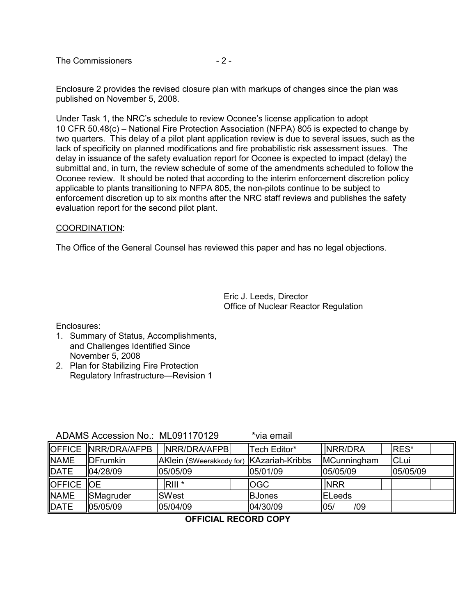The Commissioners  $-2$  -

Enclosure 2 provides the revised closure plan with markups of changes since the plan was published on November 5, 2008.

Under Task 1, the NRC's schedule to review Oconee's license application to adopt 10 CFR 50.48(c) – National Fire Protection Association (NFPA) 805 is expected to change by two quarters. This delay of a pilot plant application review is due to several issues, such as the lack of specificity on planned modifications and fire probabilistic risk assessment issues. The delay in issuance of the safety evaluation report for Oconee is expected to impact (delay) the submittal and, in turn, the review schedule of some of the amendments scheduled to follow the Oconee review. It should be noted that according to the interim enforcement discretion policy applicable to plants transitioning to NFPA 805, the non-pilots continue to be subject to enforcement discretion up to six months after the NRC staff reviews and publishes the safety evaluation report for the second pilot plant.

### COORDINATION:

The Office of the General Counsel has reviewed this paper and has no legal objections.

Eric J. Leeds, Director Office of Nuclear Reactor Regulation

Enclosures:

- 1. Summary of Status, Accomplishments, and Challenges Identified Since November 5, 2008
- 2. Plan for Stabilizing Fire Protection Regulatory Infrastructure—Revision 1

ADAMS Accession No.: ML091170129 \*via email

|             | OFFICE NRR/DRA/AFPB | NRR/DRA/AFPB                             | Tech Editor*  | <b>INRR/DRA</b> | <b>IRES*</b> |
|-------------|---------------------|------------------------------------------|---------------|-----------------|--------------|
| <b>NAME</b> | <b>IDFrumkin</b>    | AKlein (SWeerakkody for) KAzariah-Kribbs |               | MCunningham     | <b>CLui</b>  |
| DATE        | 04/28/09            | 05/05/09                                 | 05/01/09      | 05/05/09        | 05/05/09     |
| OFFICE OE   |                     | RIII <sup>*</sup>                        | <b>OGC</b>    | <b>INRR</b>     |              |
| <b>NAME</b> | SMagruder           | <b>SWest</b>                             | <b>BJones</b> | <b>IELeeds</b>  |              |
| DATE        | 05/05/09            | 05/04/09                                 | 04/30/09      | 05/<br>/09      |              |

### **OFFICIAL RECORD COPY**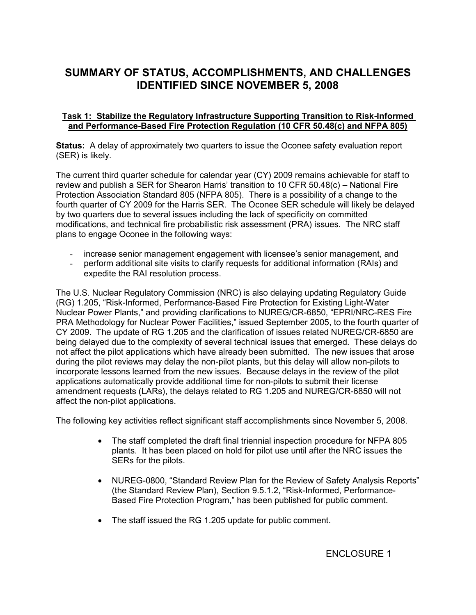# **SUMMARY OF STATUS, ACCOMPLISHMENTS, AND CHALLENGES IDENTIFIED SINCE NOVEMBER 5, 2008**

### **Task 1: Stabilize the Regulatory Infrastructure Supporting Transition to Risk-Informed and Performance-Based Fire Protection Regulation (10 CFR 50.48(c) and NFPA 805)**

**Status:** A delay of approximately two quarters to issue the Oconee safety evaluation report (SER) is likely.

The current third quarter schedule for calendar year (CY) 2009 remains achievable for staff to review and publish a SER for Shearon Harris' transition to 10 CFR 50.48(c) – National Fire Protection Association Standard 805 (NFPA 805). There is a possibility of a change to the fourth quarter of CY 2009 for the Harris SER. The Oconee SER schedule will likely be delayed by two quarters due to several issues including the lack of specificity on committed modifications, and technical fire probabilistic risk assessment (PRA) issues. The NRC staff plans to engage Oconee in the following ways:

- increase senior management engagement with licensee's senior management, and
- perform additional site visits to clarify requests for additional information (RAIs) and expedite the RAI resolution process.

The U.S. Nuclear Regulatory Commission (NRC) is also delaying updating Regulatory Guide (RG) 1.205, "Risk-Informed, Performance-Based Fire Protection for Existing Light-Water Nuclear Power Plants," and providing clarifications to NUREG/CR-6850, "EPRI/NRC-RES Fire PRA Methodology for Nuclear Power Facilities," issued September 2005, to the fourth quarter of CY 2009. The update of RG 1.205 and the clarification of issues related NUREG/CR-6850 are being delayed due to the complexity of several technical issues that emerged. These delays do not affect the pilot applications which have already been submitted. The new issues that arose during the pilot reviews may delay the non-pilot plants, but this delay will allow non-pilots to incorporate lessons learned from the new issues. Because delays in the review of the pilot applications automatically provide additional time for non-pilots to submit their license amendment requests (LARs), the delays related to RG 1.205 and NUREG/CR-6850 will not affect the non-pilot applications.

The following key activities reflect significant staff accomplishments since November 5, 2008.

- The staff completed the draft final triennial inspection procedure for NFPA 805 plants. It has been placed on hold for pilot use until after the NRC issues the SERs for the pilots.
- NUREG-0800, "Standard Review Plan for the Review of Safety Analysis Reports" (the Standard Review Plan), Section 9.5.1.2, "Risk-Informed, Performance-Based Fire Protection Program," has been published for public comment.
- The staff issued the RG 1.205 update for public comment.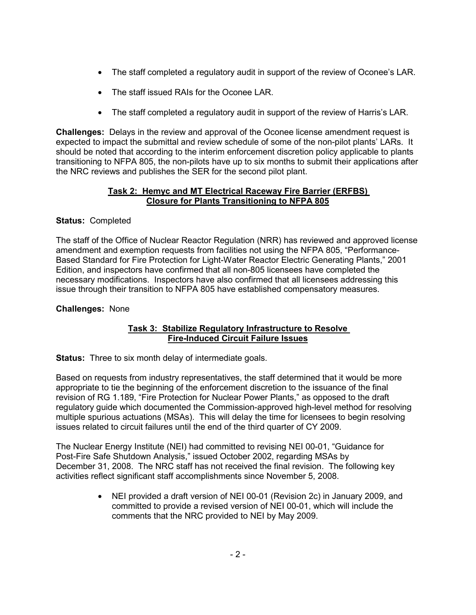- The staff completed a regulatory audit in support of the review of Oconee's LAR.
- The staff issued RAIs for the Oconee LAR.
- The staff completed a regulatory audit in support of the review of Harris's LAR.

**Challenges:** Delays in the review and approval of the Oconee license amendment request is expected to impact the submittal and review schedule of some of the non-pilot plants' LARs. It should be noted that according to the interim enforcement discretion policy applicable to plants transitioning to NFPA 805, the non-pilots have up to six months to submit their applications after the NRC reviews and publishes the SER for the second pilot plant.

### **Task 2: Hemyc and MT Electrical Raceway Fire Barrier (ERFBS) Closure for Plants Transitioning to NFPA 805**

## **Status:** Completed

The staff of the Office of Nuclear Reactor Regulation (NRR) has reviewed and approved license amendment and exemption requests from facilities not using the NFPA 805, "Performance-Based Standard for Fire Protection for Light-Water Reactor Electric Generating Plants," 2001 Edition, and inspectors have confirmed that all non-805 licensees have completed the necessary modifications. Inspectors have also confirmed that all licensees addressing this issue through their transition to NFPA 805 have established compensatory measures.

## **Challenges:** None

### **Task 3: Stabilize Regulatory Infrastructure to Resolve Fire-Induced Circuit Failure Issues**

**Status:** Three to six month delay of intermediate goals.

Based on requests from industry representatives, the staff determined that it would be more appropriate to tie the beginning of the enforcement discretion to the issuance of the final revision of RG 1.189, "Fire Protection for Nuclear Power Plants," as opposed to the draft regulatory guide which documented the Commission-approved high-level method for resolving multiple spurious actuations (MSAs). This will delay the time for licensees to begin resolving issues related to circuit failures until the end of the third quarter of CY 2009.

The Nuclear Energy Institute (NEI) had committed to revising NEI 00-01, "Guidance for Post-Fire Safe Shutdown Analysis," issued October 2002, regarding MSAs by December 31, 2008. The NRC staff has not received the final revision. The following key activities reflect significant staff accomplishments since November 5, 2008.

> • NEI provided a draft version of NEI 00-01 (Revision 2c) in January 2009, and committed to provide a revised version of NEI 00-01, which will include the comments that the NRC provided to NEI by May 2009.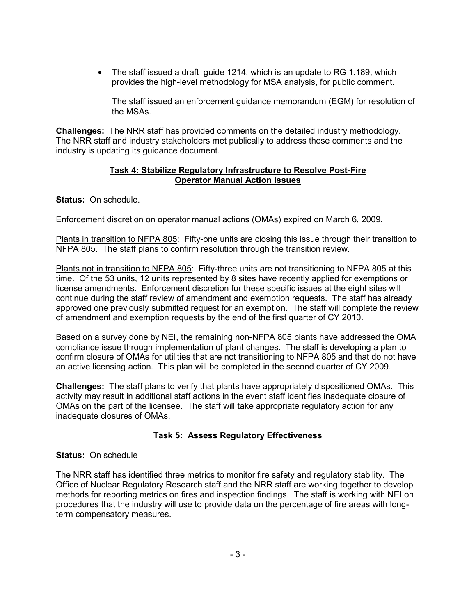• The staff issued a draft guide 1214, which is an update to RG 1.189, which provides the high-level methodology for MSA analysis, for public comment.

The staff issued an enforcement guidance memorandum (EGM) for resolution of the MSAs.

**Challenges:** The NRR staff has provided comments on the detailed industry methodology. The NRR staff and industry stakeholders met publically to address those comments and the industry is updating its guidance document.

### **Task 4: Stabilize Regulatory Infrastructure to Resolve Post-Fire Operator Manual Action Issues**

**Status:** On schedule.

Enforcement discretion on operator manual actions (OMAs) expired on March 6, 2009.

Plants in transition to NFPA 805: Fifty-one units are closing this issue through their transition to NFPA 805. The staff plans to confirm resolution through the transition review.

Plants not in transition to NFPA 805: Fifty-three units are not transitioning to NFPA 805 at this time. Of the 53 units, 12 units represented by 8 sites have recently applied for exemptions or license amendments. Enforcement discretion for these specific issues at the eight sites will continue during the staff review of amendment and exemption requests. The staff has already approved one previously submitted request for an exemption. The staff will complete the review of amendment and exemption requests by the end of the first quarter of CY 2010.

Based on a survey done by NEI, the remaining non-NFPA 805 plants have addressed the OMA compliance issue through implementation of plant changes. The staff is developing a plan to confirm closure of OMAs for utilities that are not transitioning to NFPA 805 and that do not have an active licensing action. This plan will be completed in the second quarter of CY 2009.

**Challenges:** The staff plans to verify that plants have appropriately dispositioned OMAs. This activity may result in additional staff actions in the event staff identifies inadequate closure of OMAs on the part of the licensee. The staff will take appropriate regulatory action for any inadequate closures of OMAs.

### **Task 5: Assess Regulatory Effectiveness**

### **Status:** On schedule

The NRR staff has identified three metrics to monitor fire safety and regulatory stability. The Office of Nuclear Regulatory Research staff and the NRR staff are working together to develop methods for reporting metrics on fires and inspection findings. The staff is working with NEI on procedures that the industry will use to provide data on the percentage of fire areas with longterm compensatory measures.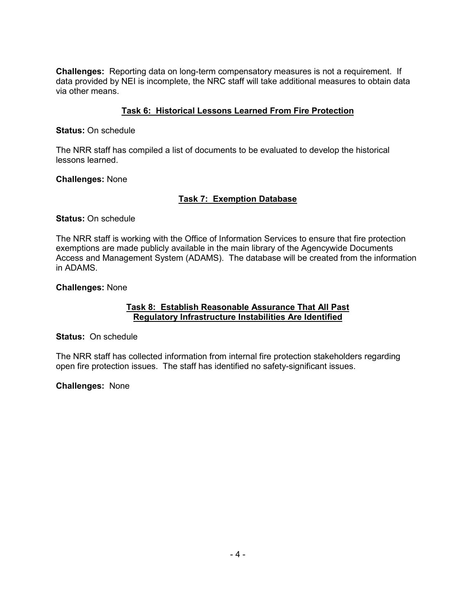**Challenges:** Reporting data on long-term compensatory measures is not a requirement. If data provided by NEI is incomplete, the NRC staff will take additional measures to obtain data via other means.

### **Task 6: Historical Lessons Learned From Fire Protection**

**Status:** On schedule

The NRR staff has compiled a list of documents to be evaluated to develop the historical lessons learned.

**Challenges:** None

### **Task 7: Exemption Database**

**Status:** On schedule

The NRR staff is working with the Office of Information Services to ensure that fire protection exemptions are made publicly available in the main library of the Agencywide Documents Access and Management System (ADAMS). The database will be created from the information in ADAMS.

**Challenges:** None

### **Task 8: Establish Reasonable Assurance That All Past Regulatory Infrastructure Instabilities Are Identified**

**Status:** On schedule

The NRR staff has collected information from internal fire protection stakeholders regarding open fire protection issues. The staff has identified no safety-significant issues.

**Challenges:** None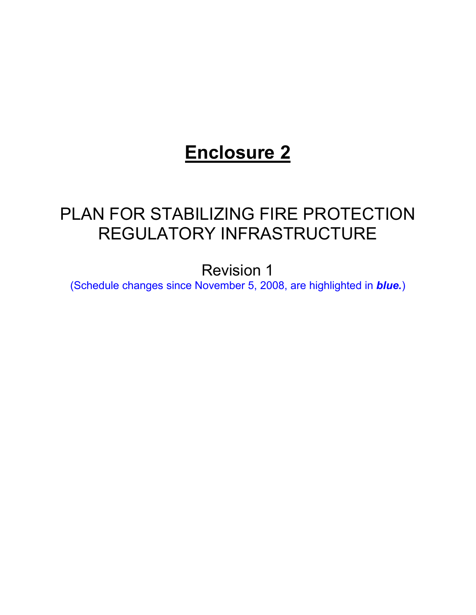# **Enclosure 2**

# PLAN FOR STABILIZING FIRE PROTECTION REGULATORY INFRASTRUCTURE

Revision 1

(Schedule changes since November 5, 2008, are highlighted in *blue.*)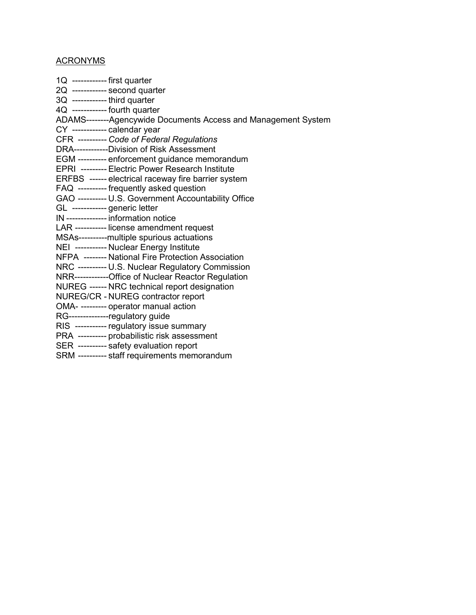## **ACRONYMS**

| $1Q$ ------------ first quarter                                |
|----------------------------------------------------------------|
| 2Q ------------ second quarter                                 |
| $3Q$ ------------- third quarter                               |
| 4Q ------------ fourth quarter                                 |
| ADAMS--------Agencywide Documents Access and Management System |
| CY ------------ calendar year                                  |
| CFR ---------- Code of Federal Regulations                     |
| DRA------------Division of Risk Assessment                     |
| EGM ---------- enforcement guidance memorandum                 |
| EPRI --------- Electric Power Research Institute               |
| ERFBS ------ electrical raceway fire barrier system            |
| FAQ ---------- frequently asked question                       |
| GAO ---------- U.S. Government Accountability Office           |
| GL ------------ generic letter                                 |
| IN -------------- information notice                           |
| LAR ----------- license amendment request                      |
| MSAs----------multiple spurious actuations                     |
| NEI ---------- Nuclear Energy Institute                        |
| NFPA -------- National Fire Protection Association             |
| NRC ---------- U.S. Nuclear Regulatory Commission              |
| NRR------------Office of Nuclear Reactor Regulation            |
| NUREG ------ NRC technical report designation                  |
| NUREG/CR - NUREG contractor report                             |
| OMA- --------- operator manual action                          |
| RG--------------regulatory guide                               |
| RIS ----------- regulatory issue summary                       |
| PRA ---------- probabilistic risk assessment                   |
| SER ---------- safety evaluation report                        |
| SRM --------- staff requirements memorandum                    |
|                                                                |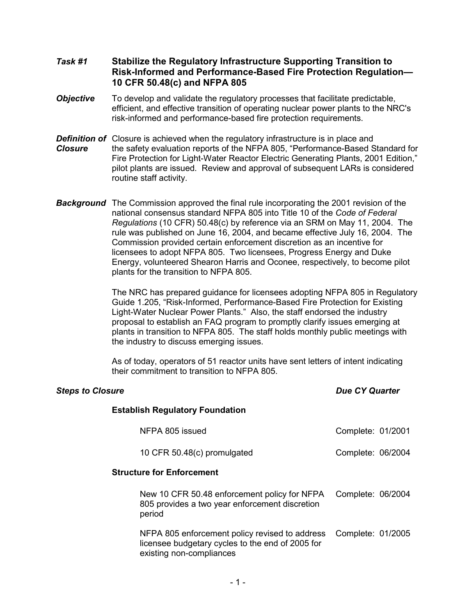- *Task #1* **Stabilize the Regulatory Infrastructure Supporting Transition to**  **Risk-Informed and Performance-Based Fire Protection Regulation— 10 CFR 50.48(c) and NFPA 805**
- **Objective** To develop and validate the regulatory processes that facilitate predictable, efficient, and effective transition of operating nuclear power plants to the NRC's risk-informed and performance-based fire protection requirements.
- *Definition of* Closure is achieved when the regulatory infrastructure is in place and *Closure* the safety evaluation reports of the NFPA 805, "Performance-Based Standard for Fire Protection for Light-Water Reactor Electric Generating Plants, 2001 Edition," pilot plants are issued. Review and approval of subsequent LARs is considered routine staff activity.
- *Background* The Commission approved the final rule incorporating the 2001 revision of the national consensus standard NFPA 805 into Title 10 of the *Code of Federal Regulations* (10 CFR) 50.48(c) by reference via an SRM on May 11, 2004. The rule was published on June 16, 2004, and became effective July 16, 2004. The Commission provided certain enforcement discretion as an incentive for licensees to adopt NFPA 805. Two licensees, Progress Energy and Duke Energy, volunteered Shearon Harris and Oconee, respectively, to become pilot plants for the transition to NFPA 805.

The NRC has prepared guidance for licensees adopting NFPA 805 in Regulatory Guide 1.205, "Risk-Informed, Performance-Based Fire Protection for Existing Light-Water Nuclear Power Plants." Also, the staff endorsed the industry proposal to establish an FAQ program to promptly clarify issues emerging at plants in transition to NFPA 805. The staff holds monthly public meetings with the industry to discuss emerging issues.

As of today, operators of 51 reactor units have sent letters of intent indicating their commitment to transition to NFPA 805.

| <b>Steps to Closure</b>                                                                                                        | <b>Due CY Quarter</b> |  |
|--------------------------------------------------------------------------------------------------------------------------------|-----------------------|--|
| <b>Establish Regulatory Foundation</b>                                                                                         |                       |  |
| NFPA 805 issued                                                                                                                | Complete: 01/2001     |  |
| 10 CFR 50.48(c) promulgated                                                                                                    | Complete: 06/2004     |  |
| <b>Structure for Enforcement</b>                                                                                               |                       |  |
| New 10 CFR 50.48 enforcement policy for NFPA<br>805 provides a two year enforcement discretion<br>period                       | Complete: 06/2004     |  |
| NFPA 805 enforcement policy revised to address<br>licensee budgetary cycles to the end of 2005 for<br>existing non-compliances | Complete: 01/2005     |  |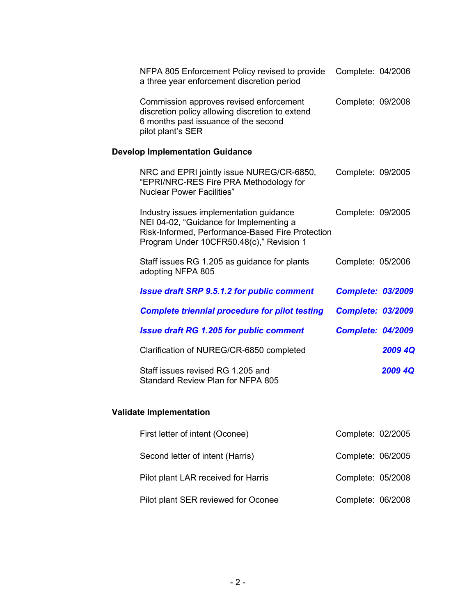| NFPA 805 Enforcement Policy revised to provide<br>a three year enforcement discretion period                                                                                       | Complete: 04/2006        |         |
|------------------------------------------------------------------------------------------------------------------------------------------------------------------------------------|--------------------------|---------|
| Commission approves revised enforcement<br>discretion policy allowing discretion to extend<br>6 months past issuance of the second<br>pilot plant's SER                            | Complete: 09/2008        |         |
| <b>Develop Implementation Guidance</b>                                                                                                                                             |                          |         |
| NRC and EPRI jointly issue NUREG/CR-6850,<br>"EPRI/NRC-RES Fire PRA Methodology for<br><b>Nuclear Power Facilities"</b>                                                            | Complete: 09/2005        |         |
| Industry issues implementation guidance<br>NEI 04-02, "Guidance for Implementing a<br>Risk-Informed, Performance-Based Fire Protection<br>Program Under 10CFR50.48(c)," Revision 1 | Complete: 09/2005        |         |
| Staff issues RG 1.205 as guidance for plants<br>adopting NFPA 805                                                                                                                  | Complete: 05/2006        |         |
| <b>Issue draft SRP 9.5.1.2 for public comment</b>                                                                                                                                  | <b>Complete: 03/2009</b> |         |
| <b>Complete triennial procedure for pilot testing</b>                                                                                                                              | <b>Complete: 03/2009</b> |         |
| <b>Issue draft RG 1.205 for public comment</b>                                                                                                                                     | <b>Complete: 04/2009</b> |         |
| Clarification of NUREG/CR-6850 completed                                                                                                                                           |                          | 2009 4Q |
| Staff issues revised RG 1.205 and<br><b>Standard Review Plan for NFPA 805</b>                                                                                                      |                          | 2009 4Q |

# **Validate Implementation**

| First letter of intent (Oconee)     | Complete: 02/2005 |  |
|-------------------------------------|-------------------|--|
| Second letter of intent (Harris)    | Complete: 06/2005 |  |
| Pilot plant LAR received for Harris | Complete: 05/2008 |  |
| Pilot plant SER reviewed for Oconee | Complete: 06/2008 |  |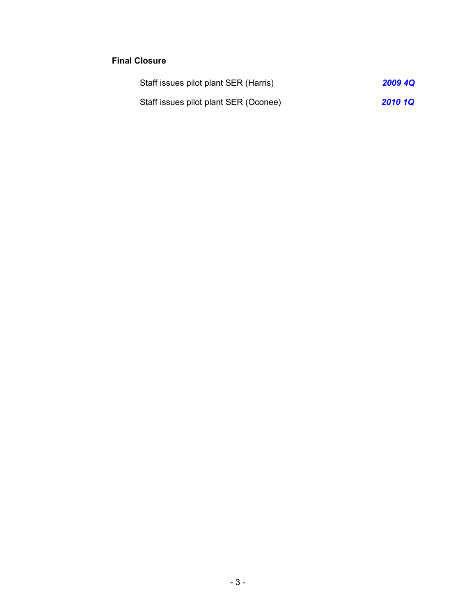## **Final Closure**

| Staff issues pilot plant SER (Harris) | <b>2009 4Q</b> |
|---------------------------------------|----------------|
| Staff issues pilot plant SER (Oconee) | <b>2010 1Q</b> |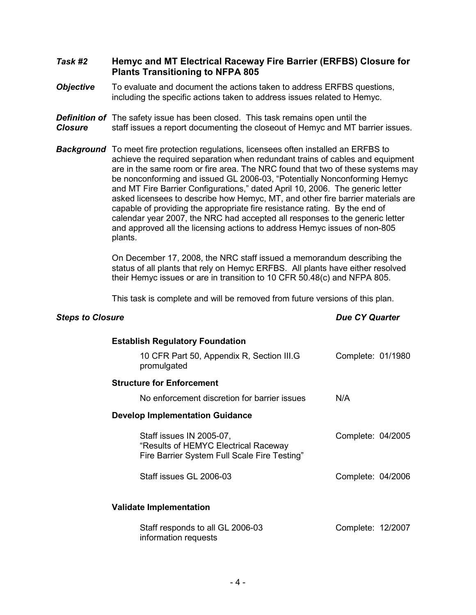### *Task #2* **Hemyc and MT Electrical Raceway Fire Barrier (ERFBS) Closure for Plants Transitioning to NFPA 805**

- *Objective* To evaluate and document the actions taken to address ERFBS questions, including the specific actions taken to address issues related to Hemyc.
- **Definition of** The safety issue has been closed. This task remains open until the *Closure* staff issues a report documenting the closeout of Hemyc and MT barrier issues.
- *Background* To meet fire protection regulations, licensees often installed an ERFBS to achieve the required separation when redundant trains of cables and equipment are in the same room or fire area. The NRC found that two of these systems may be nonconforming and issued GL 2006-03, "Potentially Nonconforming Hemyc and MT Fire Barrier Configurations," dated April 10, 2006. The generic letter asked licensees to describe how Hemyc, MT, and other fire barrier materials are capable of providing the appropriate fire resistance rating. By the end of calendar year 2007, the NRC had accepted all responses to the generic letter and approved all the licensing actions to address Hemyc issues of non-805 plants.

On December 17, 2008, the NRC staff issued a memorandum describing the status of all plants that rely on Hemyc ERFBS. All plants have either resolved their Hemyc issues or are in transition to 10 CFR 50.48(c) and NFPA 805.

This task is complete and will be removed from future versions of this plan.

| <b>Establish Regulatory Foundation</b>                                                                           |                   |  |
|------------------------------------------------------------------------------------------------------------------|-------------------|--|
| 10 CFR Part 50, Appendix R, Section III.G<br>promulgated                                                         | Complete: 01/1980 |  |
| <b>Structure for Enforcement</b>                                                                                 |                   |  |
| No enforcement discretion for barrier issues                                                                     | N/A               |  |
| <b>Develop Implementation Guidance</b>                                                                           |                   |  |
| Staff issues IN 2005-07,<br>"Results of HEMYC Electrical Raceway<br>Fire Barrier System Full Scale Fire Testing" | Complete: 04/2005 |  |
| Staff issues GL 2006-03                                                                                          | Complete: 04/2006 |  |
| <b>Validate Implementation</b>                                                                                   |                   |  |
|                                                                                                                  |                   |  |
| Staff responds to all GL 2006-03<br>information requests                                                         | Complete: 12/2007 |  |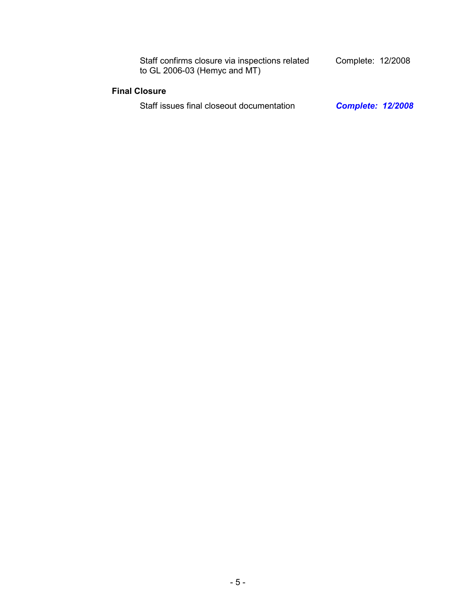| Staff confirms closure via inspections related<br>to $GL$ 2006-03 (Hemyc and MT) | Complete: 12/2008        |
|----------------------------------------------------------------------------------|--------------------------|
| <b>Final Closure</b>                                                             |                          |
| Staff issues final closeout documentation                                        | <b>Complete: 12/2008</b> |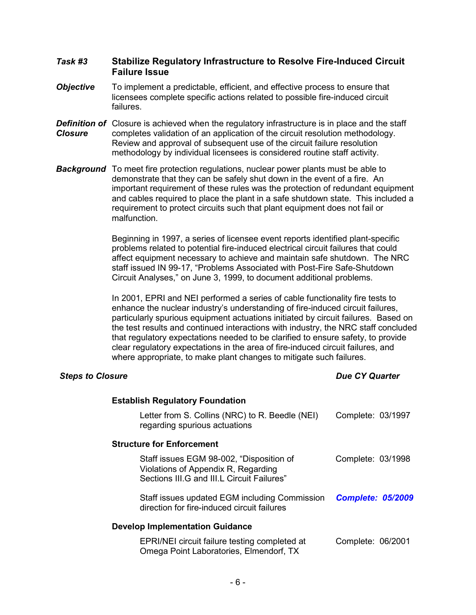### *Task #3* **Stabilize Regulatory Infrastructure to Resolve Fire-Induced Circuit Failure Issue**

- **Objective** To implement a predictable, efficient, and effective process to ensure that licensees complete specific actions related to possible fire-induced circuit failures.
- **Definition of** Closure is achieved when the regulatory infrastructure is in place and the staff *Closure* completes validation of an application of the circuit resolution methodology. Review and approval of subsequent use of the circuit failure resolution methodology by individual licensees is considered routine staff activity.
- **Background** To meet fire protection regulations, nuclear power plants must be able to demonstrate that they can be safely shut down in the event of a fire. An important requirement of these rules was the protection of redundant equipment and cables required to place the plant in a safe shutdown state. This included a requirement to protect circuits such that plant equipment does not fail or malfunction.

Beginning in 1997, a series of licensee event reports identified plant-specific problems related to potential fire-induced electrical circuit failures that could affect equipment necessary to achieve and maintain safe shutdown. The NRC staff issued IN 99-17, "Problems Associated with Post-Fire Safe-Shutdown Circuit Analyses," on June 3, 1999, to document additional problems.

In 2001, EPRI and NEI performed a series of cable functionality fire tests to enhance the nuclear industry's understanding of fire-induced circuit failures, particularly spurious equipment actuations initiated by circuit failures. Based on the test results and continued interactions with industry, the NRC staff concluded that regulatory expectations needed to be clarified to ensure safety, to provide clear regulatory expectations in the area of fire-induced circuit failures, and where appropriate, to make plant changes to mitigate such failures.

| <b>Establish Regulatory Foundation</b>                                                                                        |                          |
|-------------------------------------------------------------------------------------------------------------------------------|--------------------------|
| Letter from S. Collins (NRC) to R. Beedle (NEI)<br>regarding spurious actuations                                              | Complete: 03/1997        |
| <b>Structure for Enforcement</b>                                                                                              |                          |
| Staff issues EGM 98-002, "Disposition of<br>Violations of Appendix R, Regarding<br>Sections III.G and III.L Circuit Failures" | Complete: 03/1998        |
| Staff issues updated EGM including Commission<br>direction for fire-induced circuit failures                                  | <b>Complete: 05/2009</b> |
| <b>Develop Implementation Guidance</b>                                                                                        |                          |
| EPRI/NEI circuit failure testing completed at<br>Omega Point Laboratories, Elmendorf, TX                                      | Complete: 06/2001        |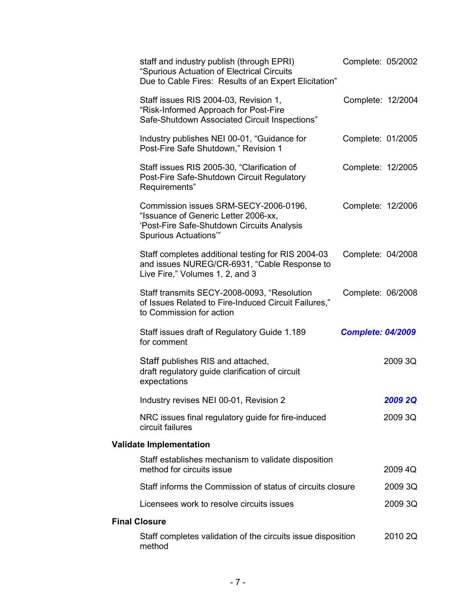|                      | staff and industry publish (through EPRI)<br>"Spurious Actuation of Electrical Circuits<br>Due to Cable Fires: Results of an Expert Elicitation"    | Complete: 05/2002        |
|----------------------|-----------------------------------------------------------------------------------------------------------------------------------------------------|--------------------------|
|                      | Staff issues RIS 2004-03, Revision 1,<br>"Risk-Informed Approach for Post-Fire<br>Safe-Shutdown Associated Circuit Inspections"                     | Complete: 12/2004        |
|                      | Industry publishes NEI 00-01, "Guidance for<br>Post-Fire Safe Shutdown," Revision 1                                                                 | Complete: 01/2005        |
|                      | Staff issues RIS 2005-30, "Clarification of<br>Post-Fire Safe-Shutdown Circuit Regulatory<br>Requirements"                                          | Complete: 12/2005        |
|                      | Commission issues SRM-SECY-2006-0196,<br>"Issuance of Generic Letter 2006-xx,<br>'Post-Fire Safe-Shutdown Circuits Analysis<br>Spurious Actuations" | Complete: 12/2006        |
|                      | Staff completes additional testing for RIS 2004-03<br>and issues NUREG/CR-6931, "Cable Response to<br>Live Fire," Volumes 1, 2, and 3               | Complete: 04/2008        |
|                      | Staff transmits SECY-2008-0093, "Resolution<br>of Issues Related to Fire-Induced Circuit Failures,"<br>to Commission for action                     | Complete: 06/2008        |
|                      | Staff issues draft of Regulatory Guide 1.189<br>for comment                                                                                         | <b>Complete: 04/2009</b> |
|                      | Staff publishes RIS and attached,<br>draft regulatory guide clarification of circuit<br>expectations                                                | 2009 3Q                  |
|                      | Industry revises NEI 00-01, Revision 2                                                                                                              | <b>2009 2Q</b>           |
|                      | NRC issues final regulatory guide for fire-induced<br>circuit failures                                                                              | 2009 3Q                  |
|                      | <b>Validate Implementation</b>                                                                                                                      |                          |
|                      | Staff establishes mechanism to validate disposition<br>method for circuits issue                                                                    | 2009 4Q                  |
|                      | Staff informs the Commission of status of circuits closure                                                                                          | 2009 3Q                  |
|                      | Licensees work to resolve circuits issues                                                                                                           | 2009 3Q                  |
| <b>Final Closure</b> |                                                                                                                                                     |                          |
|                      | Staff completes validation of the circuits issue disposition<br>method                                                                              | 2010 2Q                  |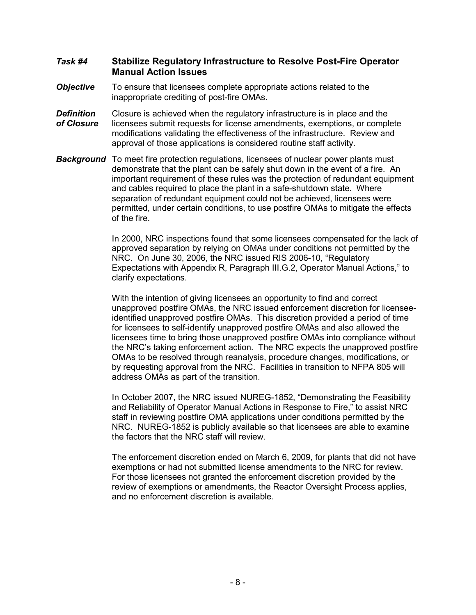### *Task #4* **Stabilize Regulatory Infrastructure to Resolve Post-Fire Operator Manual Action Issues**

- *Objective* To ensure that licensees complete appropriate actions related to the inappropriate crediting of post-fire OMAs.
- **Definition** Closure is achieved when the regulatory infrastructure is in place and the *of Closure* licensees submit requests for license amendments, exemptions, or complete modifications validating the effectiveness of the infrastructure. Review and approval of those applications is considered routine staff activity.
- **Background** To meet fire protection regulations, licensees of nuclear power plants must demonstrate that the plant can be safely shut down in the event of a fire. An important requirement of these rules was the protection of redundant equipment and cables required to place the plant in a safe-shutdown state. Where separation of redundant equipment could not be achieved, licensees were permitted, under certain conditions, to use postfire OMAs to mitigate the effects of the fire.

In 2000, NRC inspections found that some licensees compensated for the lack of approved separation by relying on OMAs under conditions not permitted by the NRC. On June 30, 2006, the NRC issued RIS 2006-10, "Regulatory Expectations with Appendix R, Paragraph III.G.2, Operator Manual Actions," to clarify expectations.

With the intention of giving licensees an opportunity to find and correct unapproved postfire OMAs, the NRC issued enforcement discretion for licenseeidentified unapproved postfire OMAs. This discretion provided a period of time for licensees to self-identify unapproved postfire OMAs and also allowed the licensees time to bring those unapproved postfire OMAs into compliance without the NRC's taking enforcement action. The NRC expects the unapproved postfire OMAs to be resolved through reanalysis, procedure changes, modifications, or by requesting approval from the NRC. Facilities in transition to NFPA 805 will address OMAs as part of the transition.

In October 2007, the NRC issued NUREG-1852, "Demonstrating the Feasibility and Reliability of Operator Manual Actions in Response to Fire," to assist NRC staff in reviewing postfire OMA applications under conditions permitted by the NRC. NUREG-1852 is publicly available so that licensees are able to examine the factors that the NRC staff will review.

The enforcement discretion ended on March 6, 2009, for plants that did not have exemptions or had not submitted license amendments to the NRC for review. For those licensees not granted the enforcement discretion provided by the review of exemptions or amendments, the Reactor Oversight Process applies, and no enforcement discretion is available.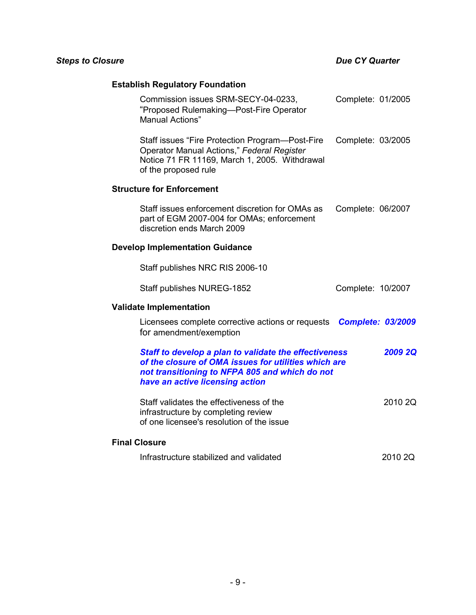# **Establish Regulatory Foundation**

| Commission issues SRM-SECY-04-0233,<br>"Proposed Rulemaking-Post-Fire Operator<br>Manual Actions"                                                                                                  | Complete: 01/2005        |                |
|----------------------------------------------------------------------------------------------------------------------------------------------------------------------------------------------------|--------------------------|----------------|
| Staff issues "Fire Protection Program—Post-Fire<br>Operator Manual Actions," Federal Register<br>Notice 71 FR 11169, March 1, 2005. Withdrawal<br>of the proposed rule                             | Complete: 03/2005        |                |
| <b>Structure for Enforcement</b>                                                                                                                                                                   |                          |                |
| Staff issues enforcement discretion for OMAs as<br>part of EGM 2007-004 for OMAs; enforcement<br>discretion ends March 2009                                                                        | Complete: 06/2007        |                |
| <b>Develop Implementation Guidance</b>                                                                                                                                                             |                          |                |
| Staff publishes NRC RIS 2006-10                                                                                                                                                                    |                          |                |
| Staff publishes NUREG-1852                                                                                                                                                                         | Complete: 10/2007        |                |
| <b>Validate Implementation</b>                                                                                                                                                                     |                          |                |
| Licensees complete corrective actions or requests<br>for amendment/exemption                                                                                                                       | <b>Complete: 03/2009</b> |                |
| Staff to develop a plan to validate the effectiveness<br>of the closure of OMA issues for utilities which are<br>not transitioning to NFPA 805 and which do not<br>have an active licensing action |                          | <b>2009 2Q</b> |
| Staff validates the effectiveness of the<br>infrastructure by completing review<br>of one licensee's resolution of the issue                                                                       |                          | 2010 2Q        |
| <b>Final Closure</b>                                                                                                                                                                               |                          |                |
| Infrastructure stabilized and validated                                                                                                                                                            |                          | 2010 2Q        |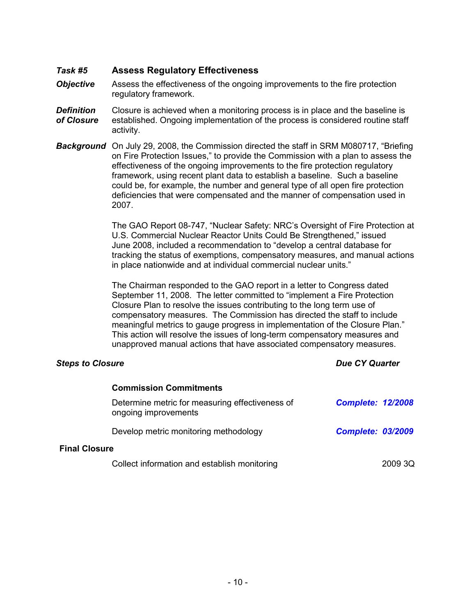### *Task #5* **Assess Regulatory Effectiveness**

- *Objective* Assess the effectiveness of the ongoing improvements to the fire protection regulatory framework.
- **Definition** Closure is achieved when a monitoring process is in place and the baseline is *of Closure* established. Ongoing implementation of the process is considered routine staff activity.
- *Background* On July 29, 2008, the Commission directed the staff in SRM M080717, "Briefing on Fire Protection Issues," to provide the Commission with a plan to assess the effectiveness of the ongoing improvements to the fire protection regulatory framework, using recent plant data to establish a baseline. Such a baseline could be, for example, the number and general type of all open fire protection deficiencies that were compensated and the manner of compensation used in 2007.

The GAO Report 08-747, "Nuclear Safety: NRC's Oversight of Fire Protection at U.S. Commercial Nuclear Reactor Units Could Be Strengthened," issued June 2008, included a recommendation to "develop a central database for tracking the status of exemptions, compensatory measures, and manual actions in place nationwide and at individual commercial nuclear units."

The Chairman responded to the GAO report in a letter to Congress dated September 11, 2008. The letter committed to "implement a Fire Protection Closure Plan to resolve the issues contributing to the long term use of compensatory measures. The Commission has directed the staff to include meaningful metrics to gauge progress in implementation of the Closure Plan." This action will resolve the issues of long-term compensatory measures and unapproved manual actions that have associated compensatory measures.

|                      | <b>Commission Commitments</b>                                           |                          |         |
|----------------------|-------------------------------------------------------------------------|--------------------------|---------|
|                      | Determine metric for measuring effectiveness of<br>ongoing improvements | <b>Complete: 12/2008</b> |         |
|                      | Develop metric monitoring methodology                                   | <b>Complete: 03/2009</b> |         |
| <b>Final Closure</b> |                                                                         |                          |         |
|                      | Collect information and establish monitoring                            |                          | 2009 3Q |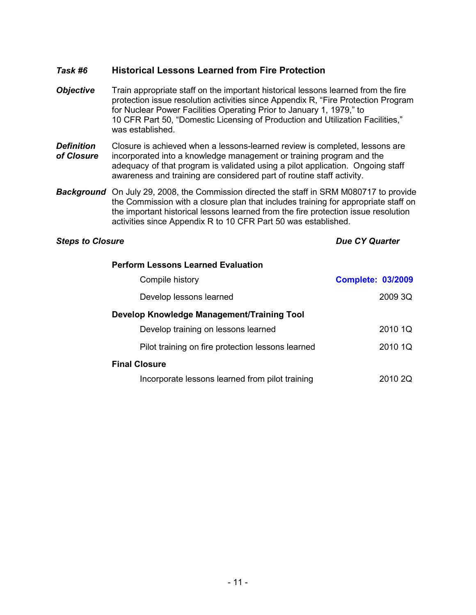## *Task #6* **Historical Lessons Learned from Fire Protection**

- *Objective* Train appropriate staff on the important historical lessons learned from the fire protection issue resolution activities since Appendix R, "Fire Protection Program for Nuclear Power Facilities Operating Prior to January 1, 1979," to 10 CFR Part 50, "Domestic Licensing of Production and Utilization Facilities," was established.
- **Definition** Closure is achieved when a lessons-learned review is completed, lessons are *of Closure* incorporated into a knowledge management or training program and the adequacy of that program is validated using a pilot application. Ongoing staff awareness and training are considered part of routine staff activity.
- *Background* On July 29, 2008, the Commission directed the staff in SRM M080717 to provide the Commission with a closure plan that includes training for appropriate staff on the important historical lessons learned from the fire protection issue resolution activities since Appendix R to 10 CFR Part 50 was established.

| <b>Perform Lessons Learned Evaluation</b>         |                          |
|---------------------------------------------------|--------------------------|
| Compile history                                   | <b>Complete: 03/2009</b> |
| Develop lessons learned                           | 2009 3Q                  |
| Develop Knowledge Management/Training Tool        |                          |
| Develop training on lessons learned               | 2010 1Q                  |
| Pilot training on fire protection lessons learned | 2010 1Q                  |
| <b>Final Closure</b>                              |                          |
| Incorporate lessons learned from pilot training   | 2010 2Q                  |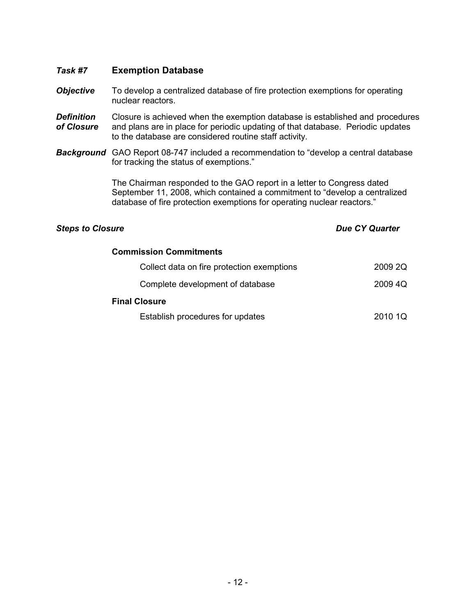### *Task #7* **Exemption Database**

- **Objective** To develop a centralized database of fire protection exemptions for operating nuclear reactors.
- **Definition** Closure is achieved when the exemption database is established and procedures *of Closure* and plans are in place for periodic updating of that database. Periodic updates to the database are considered routine staff activity.
- *Background* GAO Report 08-747 included a recommendation to "develop a central database for tracking the status of exemptions."

The Chairman responded to the GAO report in a letter to Congress dated September 11, 2008, which contained a commitment to "develop a centralized database of fire protection exemptions for operating nuclear reactors."

| <b>Commission Commitments</b>              |         |
|--------------------------------------------|---------|
| Collect data on fire protection exemptions | 2009 2Q |
| Complete development of database           | 2009 4Q |
| <b>Final Closure</b>                       |         |
| Establish procedures for updates           | 2010 1Q |